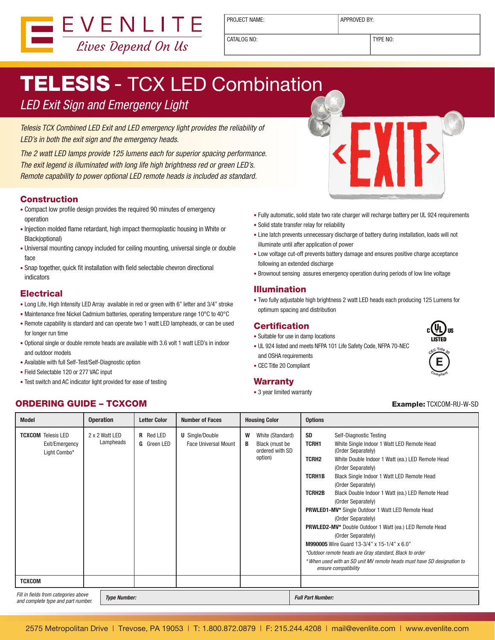

PROJECT NAME:  $\vert$  APPROVED BY:

CATALOG NO: TYPE NO:

# **TELESIS** - TCX LED Combination

### LED Exit Sign and Emergency Light

Telesis TCX Combined LED Exit and LED emergency light provides the reliability of LED's in both the exit sign and the emergency heads.

The 2 watt LED lamps provide 125 lumens each for superior spacing performance. The exit legend is illuminated with long life high brightness red or green LED's. Remote capability to power optional LED remote heads is included as standard.

#### Construction

- • Compact low profile design provides the required 90 minutes of emergency operation
- Injection molded flame retardant, high impact thermoplastic housing in White or Black(optional)
- Universal mounting canopy included for ceiling mounting, universal single or double face
- Snap together, quick fit installation with field selectable chevron directional indicators

#### **Electrical**

- Long Life, High Intensity LED Array available in red or green with 6" letter and 3/4" stroke
- Maintenance free Nickel Cadmium batteries, operating temperature range 10°C to 40°C
- Remote capability is standard and can operate two 1 watt LED lampheads, or can be used for longer run time
- • Optional single or double remote heads are available with 3.6 volt 1 watt LED's in indoor and outdoor models
- • Available with full Self-Test/Self-Diagnostic option
- • Field Selectable 120 or 277 VAC input
- Test switch and AC indicator light provided for ease of testing
- Fully automatic, solid state two rate charger will recharge battery per UL 924 requirements
- • Solid state transfer relay for reliability
- Line latch prevents unnecessary discharge of battery during installation, loads will not illuminate until after application of power
- Low voltage cut-off prevents battery damage and ensures positive charge acceptance following an extended discharge
- Brownout sensing assures emergency operation during periods of low line voltage

#### Illumination

• Two fully adjustable high brightness 2 watt LED heads each producing 125 Lumens for optimum spacing and distribution

#### **Certification**

- • Suitable for use in damp locations
- UL 924 listed and meets NFPA 101 Life Safety Code, NFPA 70-NEC and OSHA requirements
- CEC Title 20 Compliant

#### **Warranty**

• 3 year limited warranty

#### **ORDERING GUIDE – TCXCOM Example: TCXCOM-RU-W-SD Example: TCXCOM-RU-W-SD**

| <b>Model</b>                                                               | <b>Operation</b>            | <b>Letter Color</b>             | <b>Number of Faces</b>                                | <b>Housing Color</b> |                                                                  | <b>Options</b>                                                       |                                                                                                                                                                                                                                                                                                                                                                                                                                                                                                                                                                                                                                                                                                     |  |
|----------------------------------------------------------------------------|-----------------------------|---------------------------------|-------------------------------------------------------|----------------------|------------------------------------------------------------------|----------------------------------------------------------------------|-----------------------------------------------------------------------------------------------------------------------------------------------------------------------------------------------------------------------------------------------------------------------------------------------------------------------------------------------------------------------------------------------------------------------------------------------------------------------------------------------------------------------------------------------------------------------------------------------------------------------------------------------------------------------------------------------------|--|
| <b>TCXCOM</b> Telesis LED<br>Exit/Emergency<br>Light Combo*                | 2 x 2 Watt LED<br>Lampheads | R Red LED<br><b>G</b> Green LED | <b>U</b> Single/Double<br><b>Face Universal Mount</b> | W<br>B               | White (Standard)<br>Black (must be<br>ordered with SD<br>option) | <b>SD</b><br>TCRH1<br><b>TCRH2</b><br><b>TCRH1B</b><br><b>TCRH2B</b> | Self-Diagnostic Testing<br>White Single Indoor 1 Watt LED Remote Head<br>(Order Separately)<br>White Double Indoor 1 Watt (ea.) LED Remote Head<br>(Order Separately)<br>Black Single Indoor 1 Watt LED Remote Head<br>(Order Separately)<br>Black Double Indoor 1 Watt (ea.) LED Remote Head<br>(Order Separately)<br>PRWLED1-MV* Single Outdoor 1 Watt LED Remote Head<br>(Order Separately)<br><b>PRWLED2-MV*</b> Double Outdoor 1 Watt (ea.) LED Remote Head<br>(Order Separately)<br>M990005 Wire Guard 13-3/4" x 15-1/4" x 6.0"<br>*Outdoor remote heads are Gray standard, Black to order<br>* When used with an SD unit MV remote heads must have SD designation to<br>ensure compatibility |  |
| <b>TCXCOM</b>                                                              |                             |                                 |                                                       |                      |                                                                  |                                                                      |                                                                                                                                                                                                                                                                                                                                                                                                                                                                                                                                                                                                                                                                                                     |  |
| Fill in fields from categories above<br>and complete type and part number. |                             | <b>Type Number:</b>             |                                                       |                      |                                                                  | <b>Full Part Number:</b>                                             |                                                                                                                                                                                                                                                                                                                                                                                                                                                                                                                                                                                                                                                                                                     |  |